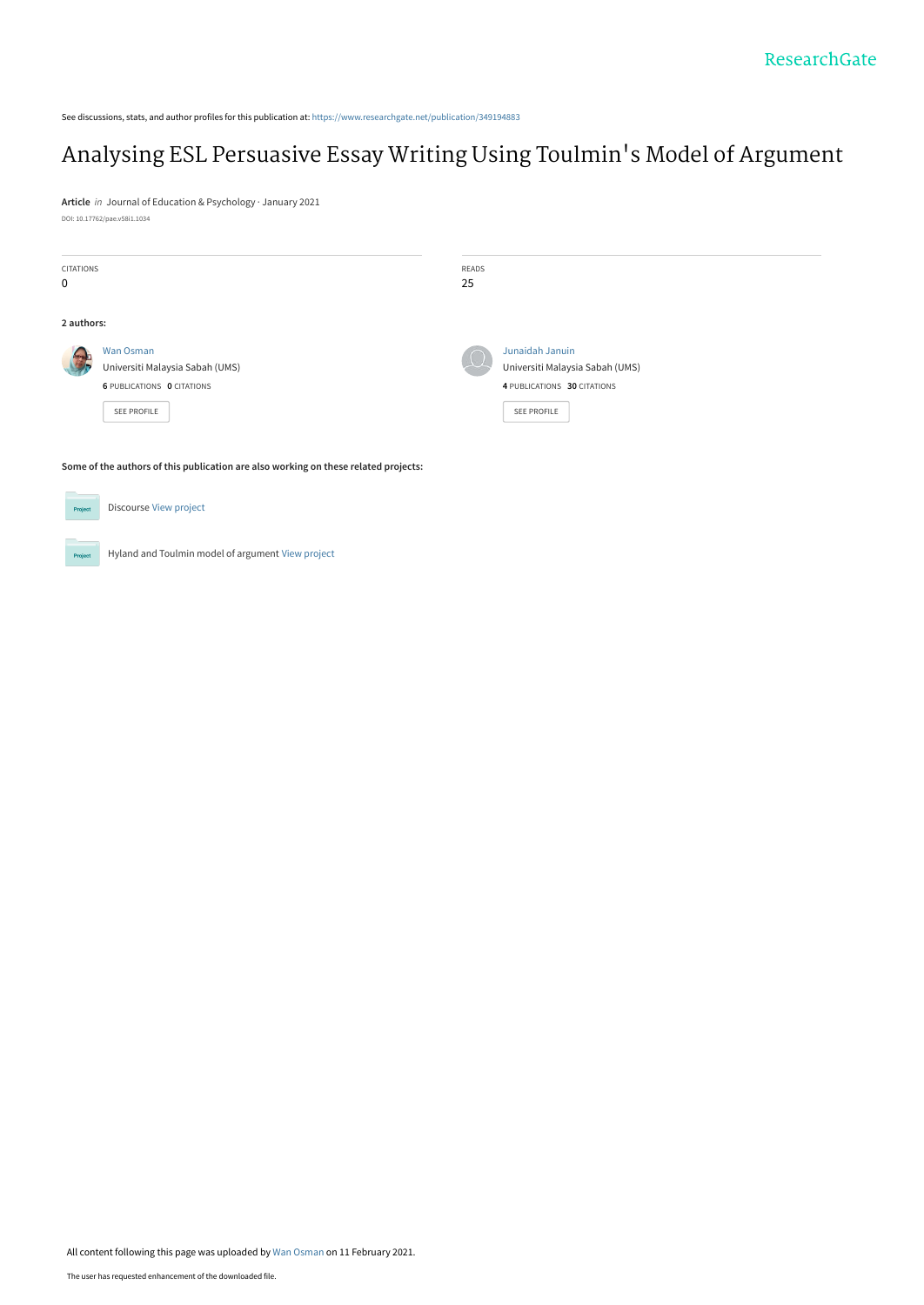See discussions, stats, and author profiles for this publication at: [https://www.researchgate.net/publication/349194883](https://www.researchgate.net/publication/349194883_Analysing_ESL_Persuasive_Essay_Writing_Using_Toulmin%27s_Model_of_Argument?enrichId=rgreq-106092202587542bf70d856b5a7d21e3-XXX&enrichSource=Y292ZXJQYWdlOzM0OTE5NDg4MztBUzo5ODk4NTYwMzM0MjMzNjBAMTYxMzAxMTQ3NzU1Ng%3D%3D&el=1_x_2&_esc=publicationCoverPdf)

# [Analysing ESL Persuasive Essay Writing Using Toulmin](https://www.researchgate.net/publication/349194883_Analysing_ESL_Persuasive_Essay_Writing_Using_Toulmin%27s_Model_of_Argument?enrichId=rgreq-106092202587542bf70d856b5a7d21e3-XXX&enrichSource=Y292ZXJQYWdlOzM0OTE5NDg4MztBUzo5ODk4NTYwMzM0MjMzNjBAMTYxMzAxMTQ3NzU1Ng%3D%3D&el=1_x_3&_esc=publicationCoverPdf)'s Model of Argument

**Article** in Journal of Education & Psychology · January 2021 DOI: 10.17762/pae.v58i1.1034

| <b>CITATIONS</b><br>$\mathbf 0$ |                                                                                                         | READS<br>25 |                                                                                                  |
|---------------------------------|---------------------------------------------------------------------------------------------------------|-------------|--------------------------------------------------------------------------------------------------|
| 2 authors:                      |                                                                                                         |             |                                                                                                  |
|                                 | <b>Wan Osman</b><br>Universiti Malaysia Sabah (UMS)<br><b>6 PUBLICATIONS O CITATIONS</b><br>SEE PROFILE |             | Junaidah Januin<br>Universiti Malaysia Sabah (UMS)<br>4 PUBLICATIONS 30 CITATIONS<br>SEE PROFILE |

**Some of the authors of this publication are also working on these related projects:**

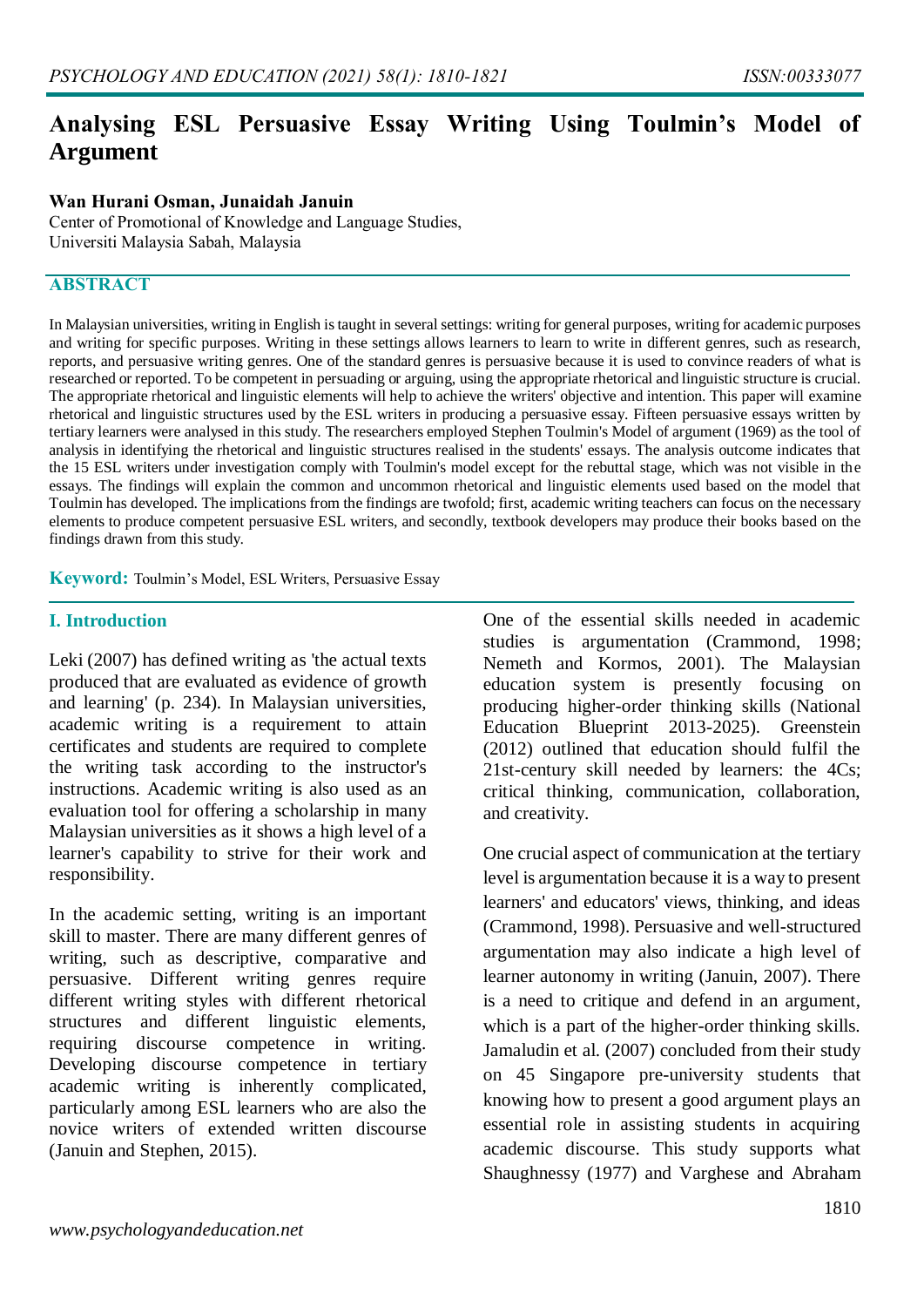# **Analysing ESL Persuasive Essay Writing Using Toulmin's Model of Argument**

#### **Wan Hurani Osman, Junaidah Januin**

Center of Promotional of Knowledge and Language Studies, Universiti Malaysia Sabah, Malaysia

#### **ABSTRACT**

In Malaysian universities, writing in English is taught in several settings: writing for general purposes, writing for academic purposes and writing for specific purposes. Writing in these settings allows learners to learn to write in different genres, such as research, reports, and persuasive writing genres. One of the standard genres is persuasive because it is used to convince readers of what is researched or reported. To be competent in persuading or arguing, using the appropriate rhetorical and linguistic structure is crucial. The appropriate rhetorical and linguistic elements will help to achieve the writers' objective and intention. This paper will examine rhetorical and linguistic structures used by the ESL writers in producing a persuasive essay. Fifteen persuasive essays written by tertiary learners were analysed in this study. The researchers employed Stephen Toulmin's Model of argument (1969) as the tool of analysis in identifying the rhetorical and linguistic structures realised in the students' essays. The analysis outcome indicates that the 15 ESL writers under investigation comply with Toulmin's model except for the rebuttal stage, which was not visible in the essays. The findings will explain the common and uncommon rhetorical and linguistic elements used based on the model that Toulmin has developed. The implications from the findings are twofold; first, academic writing teachers can focus on the necessary elements to produce competent persuasive ESL writers, and secondly, textbook developers may produce their books based on the findings drawn from this study.

**Keyword:** Toulmin's Model, ESL Writers, Persuasive Essay

#### **I. Introduction**

Leki (2007) has defined writing as 'the actual texts produced that are evaluated as evidence of growth and learning' (p. 234). In Malaysian universities, academic writing is a requirement to attain certificates and students are required to complete the writing task according to the instructor's instructions. Academic writing is also used as an evaluation tool for offering a scholarship in many Malaysian universities as it shows a high level of a learner's capability to strive for their work and responsibility.

In the academic setting, writing is an important skill to master. There are many different genres of writing, such as descriptive, comparative and persuasive. Different writing genres require different writing styles with different rhetorical structures and different linguistic elements, requiring discourse competence in writing. Developing discourse competence in tertiary academic writing is inherently complicated, particularly among ESL learners who are also the novice writers of extended written discourse (Januin and Stephen, 2015).

One of the essential skills needed in academic studies is argumentation (Crammond, 1998; Nemeth and Kormos, 2001). The Malaysian education system is presently focusing on producing higher-order thinking skills (National Education Blueprint 2013-2025). Greenstein (2012) outlined that education should fulfil the 21st-century skill needed by learners: the 4Cs; critical thinking, communication, collaboration, and creativity.

One crucial aspect of communication at the tertiary level is argumentation because it is a way to present learners' and educators' views, thinking, and ideas (Crammond, 1998). Persuasive and well-structured argumentation may also indicate a high level of learner autonomy in writing (Januin, 2007). There is a need to critique and defend in an argument, which is a part of the higher-order thinking skills. Jamaludin et al. (2007) concluded from their study on 45 Singapore pre-university students that knowing how to present a good argument plays an essential role in assisting students in acquiring academic discourse. This study supports what Shaughnessy (1977) and Varghese and Abraham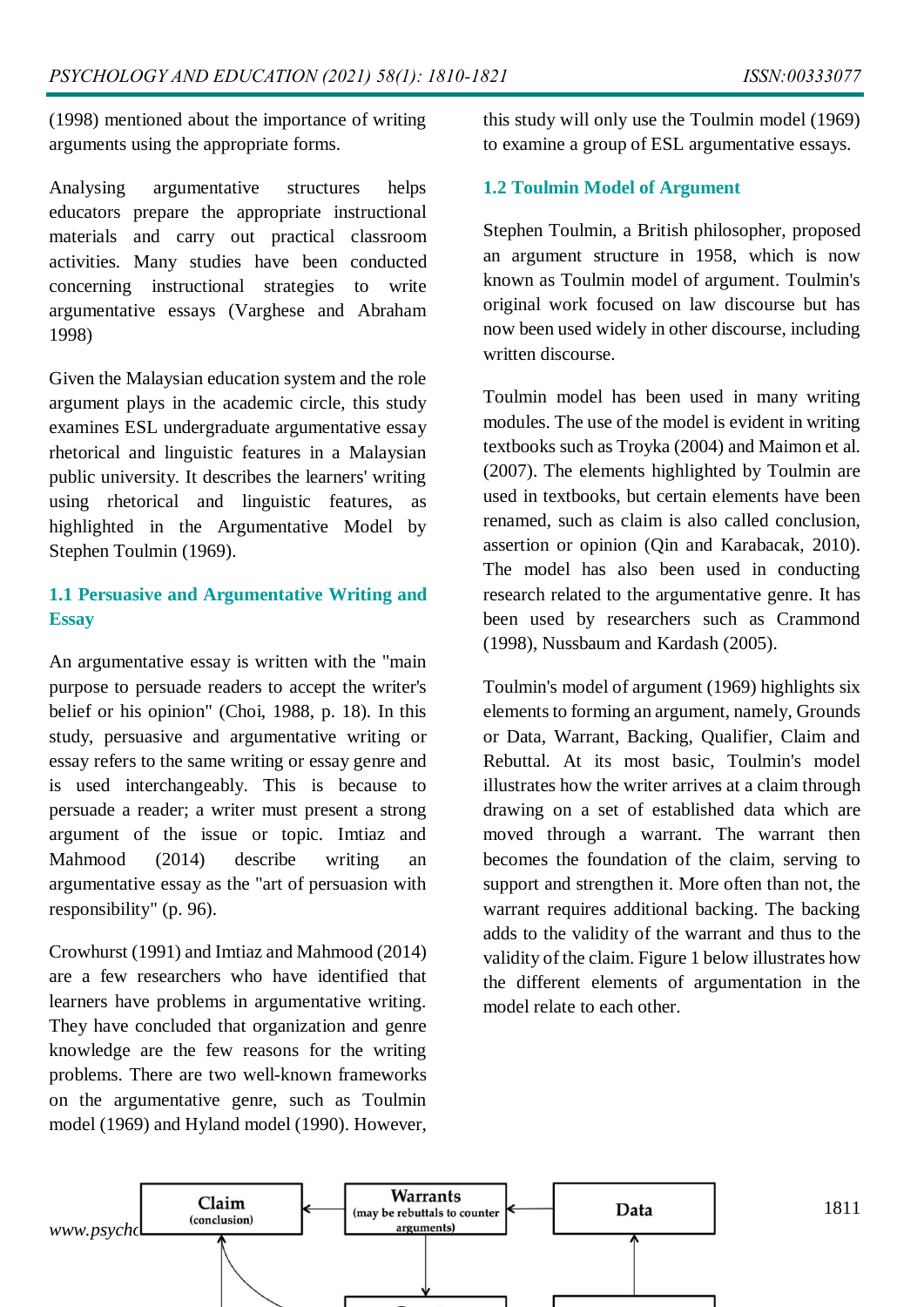(1998) mentioned about the importance of writing arguments using the appropriate forms.

Analysing argumentative structures helps educators prepare the appropriate instructional materials and carry out practical classroom activities. Many studies have been conducted concerning instructional strategies to write argumentative essays (Varghese and Abraham 1998)

Given the Malaysian education system and the role argument plays in the academic circle, this study examines ESL undergraduate argumentative essay rhetorical and linguistic features in a Malaysian public university. It describes the learners' writing using rhetorical and linguistic features, as highlighted in the Argumentative Model by Stephen Toulmin (1969).

## **1.1 Persuasive and Argumentative Writing and Essay**

An argumentative essay is written with the "main purpose to persuade readers to accept the writer's belief or his opinion" (Choi, 1988, p. 18). In this study, persuasive and argumentative writing or essay refers to the same writing or essay genre and is used interchangeably. This is because to persuade a reader; a writer must present a strong argument of the issue or topic. Imtiaz and Mahmood (2014) describe writing an argumentative essay as the "art of persuasion with responsibility" (p. 96).

Crowhurst (1991) and Imtiaz and Mahmood (2014) are a few researchers who have identified that learners have problems in argumentative writing. They have concluded that organization and genre knowledge are the few reasons for the writing problems. There are two well-known frameworks on the argumentative genre, such as Toulmin model (1969) and Hyland model (1990). However,

this study will only use the Toulmin model (1969) to examine a group of ESL argumentative essays.

#### **1.2 Toulmin Model of Argument**

Stephen Toulmin, a British philosopher, proposed an argument structure in 1958, which is now known as Toulmin model of argument. Toulmin's original work focused on law discourse but has now been used widely in other discourse, including written discourse.

Toulmin model has been used in many writing modules. The use of the model is evident in writing textbooks such as Troyka (2004) and Maimon et al. (2007). The elements highlighted by Toulmin are used in textbooks, but certain elements have been renamed, such as claim is also called conclusion, assertion or opinion (Qin and Karabacak, 2010). The model has also been used in conducting research related to the argumentative genre. It has been used by researchers such as Crammond (1998), Nussbaum and Kardash (2005).

Toulmin's model of argument (1969) highlights six elements to forming an argument, namely, Grounds or Data, Warrant, Backing, Qualifier, Claim and Rebuttal. At its most basic, Toulmin's model illustrates how the writer arrives at a claim through drawing on a set of established data which are moved through a warrant. The warrant then becomes the foundation of the claim, serving to support and strengthen it. More often than not, the warrant requires additional backing. The backing adds to the validity of the warrant and thus to the validity of the claim. Figure 1 below illustrates how the different elements of argumentation in the model relate to each other.

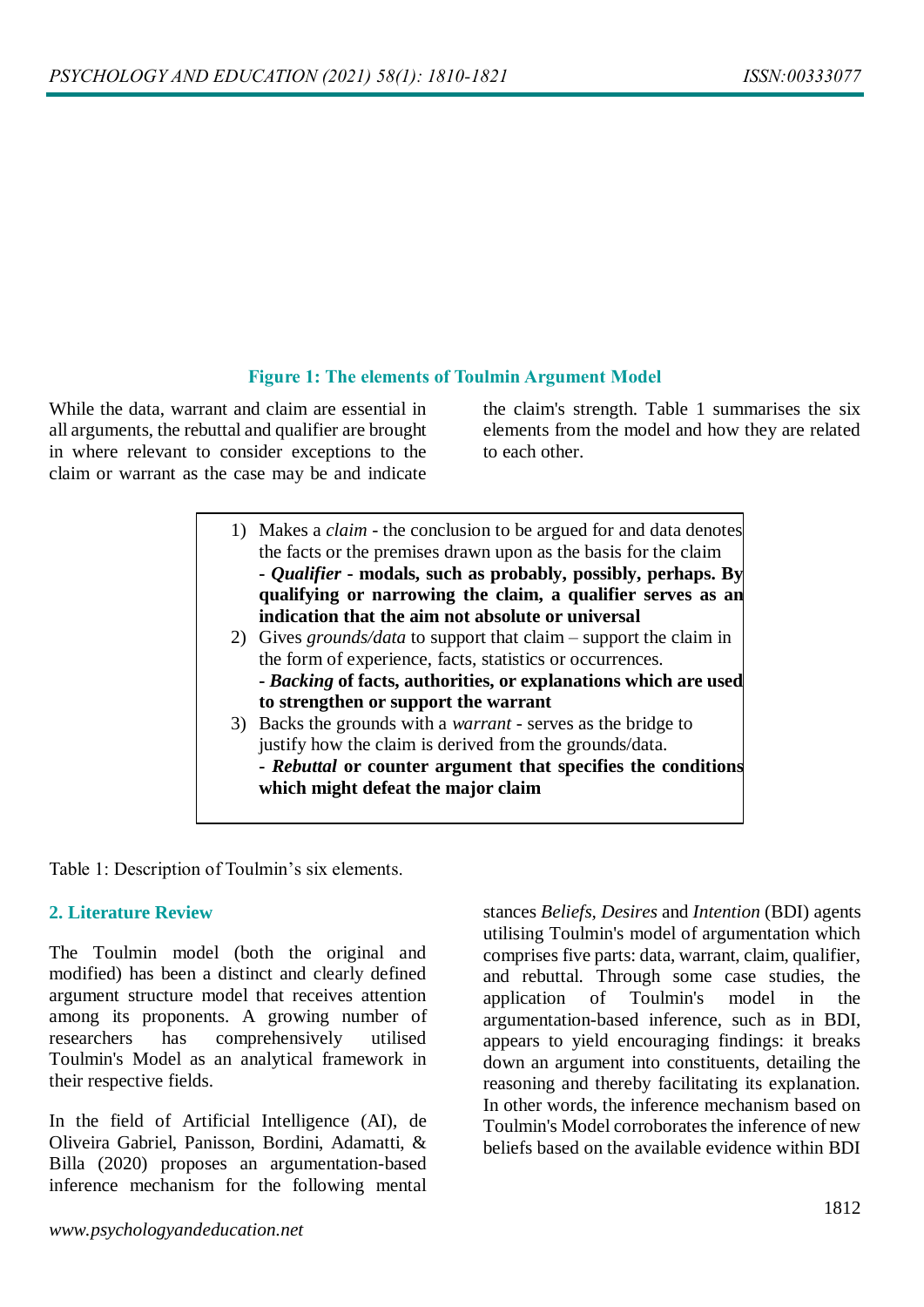# **Figure 1: The elements of Toulmin Argument Model**

While the data, warrant and claim are essential in all arguments, the rebuttal and qualifier are brought in where relevant to consider exceptions to the claim or warrant as the case may be and indicate

the claim's strength. Table 1 summarises the six elements from the model and how they are related to each other.

- 1) Makes a *claim*  the conclusion to be argued for and data denotes the facts or the premises drawn upon as the basis for the claim **-** *Qualifier* **- modals, such as probably, possibly, perhaps. By qualifying or narrowing the claim, a qualifier serves as an indication that the aim not absolute or universal**
- 2) Gives *grounds/data* to support that claim support the claim in the form of experience, facts, statistics or occurrences. **-** *Backing* **of facts, authorities, or explanations which are used to strengthen or support the warrant**
- 3) Backs the grounds with a *warrant* serves as the bridge to justify how the claim is derived from the grounds/data. **-** *Rebuttal* **or counter argument that specifies the conditions which might defeat the major claim**

Table 1: Description of Toulmin's six elements.

#### **2. Literature Review**

The Toulmin model (both the original and modified) has been a distinct and clearly defined argument structure model that receives attention among its proponents. A growing number of researchers has comprehensively utilised Toulmin's Model as an analytical framework in their respective fields.

In the field of Artificial Intelligence (AI), de Oliveira Gabriel, Panisson, Bordini, Adamatti, & Billa (2020) proposes an argumentation-based inference mechanism for the following mental

stances *Beliefs, Desires* and *Intention* (BDI) agents utilising Toulmin's model of argumentation which comprises five parts: data, warrant, claim, qualifier, and rebuttal. Through some case studies, the application of Toulmin's model in the argumentation-based inference, such as in BDI, appears to yield encouraging findings: it breaks down an argument into constituents, detailing the reasoning and thereby facilitating its explanation. In other words, the inference mechanism based on Toulmin's Model corroborates the inference of new beliefs based on the available evidence within BDI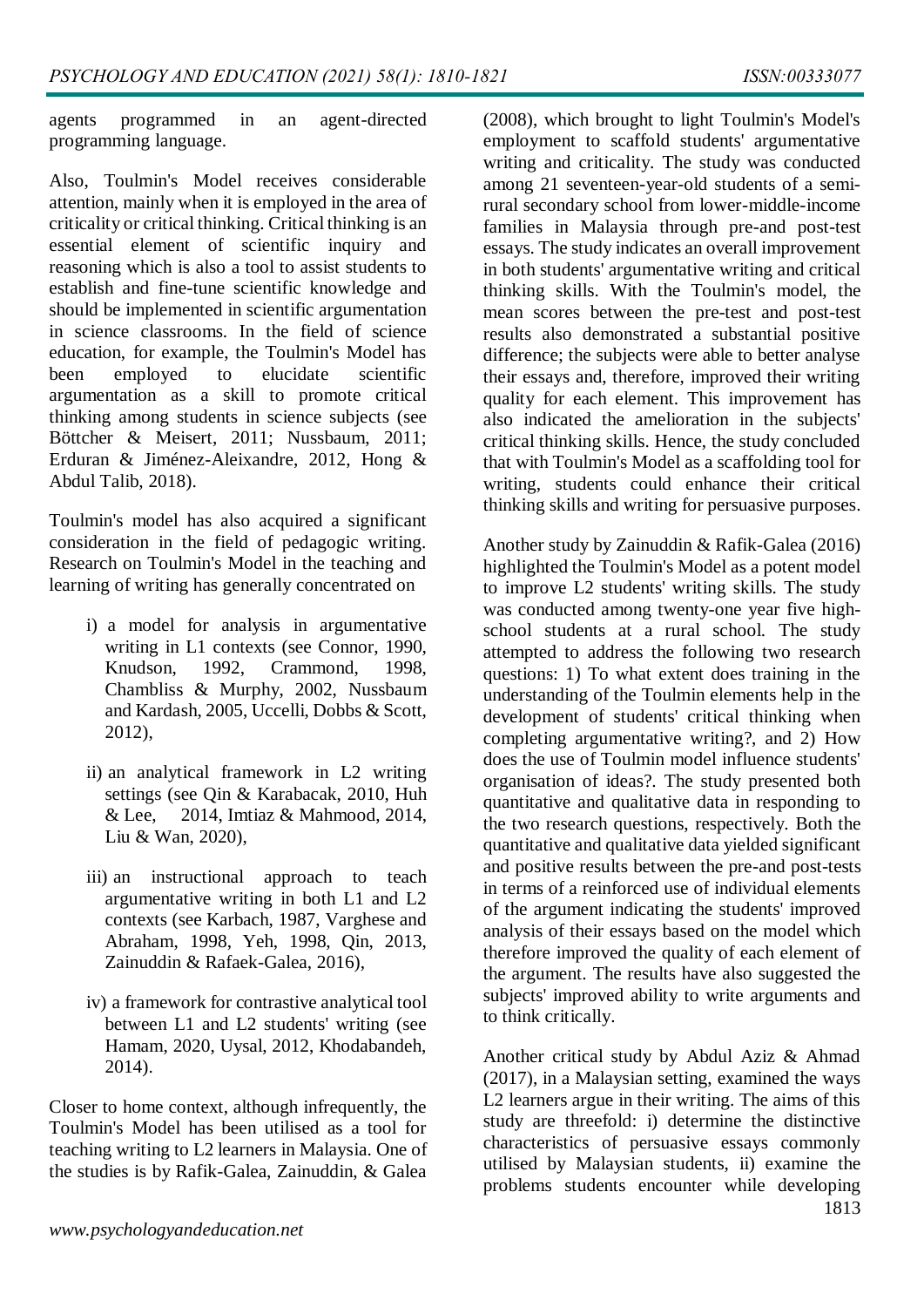agents programmed in an agent-directed programming language.

Also, Toulmin's Model receives considerable attention, mainly when it is employed in the area of criticality or critical thinking. Critical thinking is an essential element of scientific inquiry and reasoning which is also a tool to assist students to establish and fine-tune scientific knowledge and should be implemented in scientific argumentation in science classrooms. In the field of science education, for example, the Toulmin's Model has been employed to elucidate scientific argumentation as a skill to promote critical thinking among students in science subjects (see Böttcher & Meisert, 2011; Nussbaum, 2011; Erduran & Jiménez-Aleixandre, 2012, Hong & Abdul Talib, 2018).

Toulmin's model has also acquired a significant consideration in the field of pedagogic writing. Research on Toulmin's Model in the teaching and learning of writing has generally concentrated on

- i) a model for analysis in argumentative writing in L1 contexts (see Connor, 1990, Knudson, 1992, Crammond, 1998, Chambliss & Murphy, 2002, Nussbaum and Kardash, 2005, Uccelli, Dobbs & Scott, 2012),
- ii) an analytical framework in L2 writing settings (see Qin & Karabacak, 2010, Huh & Lee, 2014, Imtiaz & Mahmood, 2014, Liu & Wan, 2020),
- iii) an instructional approach to teach argumentative writing in both L1 and L2 contexts (see Karbach, 1987, Varghese and Abraham, 1998, Yeh, 1998, Qin, 2013, Zainuddin & Rafaek-Galea, 2016),
- iv) a framework for contrastive analytical tool between L1 and L2 students' writing (see Hamam, 2020, Uysal, 2012, Khodabandeh, 2014).

Closer to home context, although infrequently, the Toulmin's Model has been utilised as a tool for teaching writing to L2 learners in Malaysia. One of the studies is by Rafik-Galea, Zainuddin, & Galea

(2008), which brought to light Toulmin's Model's employment to scaffold students' argumentative writing and criticality. The study was conducted among 21 seventeen-year-old students of a semirural secondary school from lower-middle-income families in Malaysia through pre-and post-test essays. The study indicates an overall improvement in both students' argumentative writing and critical thinking skills. With the Toulmin's model, the mean scores between the pre-test and post-test results also demonstrated a substantial positive difference; the subjects were able to better analyse their essays and, therefore, improved their writing quality for each element. This improvement has also indicated the amelioration in the subjects' critical thinking skills. Hence, the study concluded that with Toulmin's Model as a scaffolding tool for writing, students could enhance their critical thinking skills and writing for persuasive purposes.

Another study by Zainuddin & Rafik-Galea (2016) highlighted the Toulmin's Model as a potent model to improve L2 students' writing skills. The study was conducted among twenty-one year five highschool students at a rural school. The study attempted to address the following two research questions: 1) To what extent does training in the understanding of the Toulmin elements help in the development of students' critical thinking when completing argumentative writing?, and 2) How does the use of Toulmin model influence students' organisation of ideas?. The study presented both quantitative and qualitative data in responding to the two research questions, respectively. Both the quantitative and qualitative data yielded significant and positive results between the pre-and post-tests in terms of a reinforced use of individual elements of the argument indicating the students' improved analysis of their essays based on the model which therefore improved the quality of each element of the argument. The results have also suggested the subjects' improved ability to write arguments and to think critically.

Another critical study by Abdul Aziz & Ahmad (2017), in a Malaysian setting, examined the ways L2 learners argue in their writing. The aims of this study are threefold: i) determine the distinctive characteristics of persuasive essays commonly utilised by Malaysian students, ii) examine the problems students encounter while developing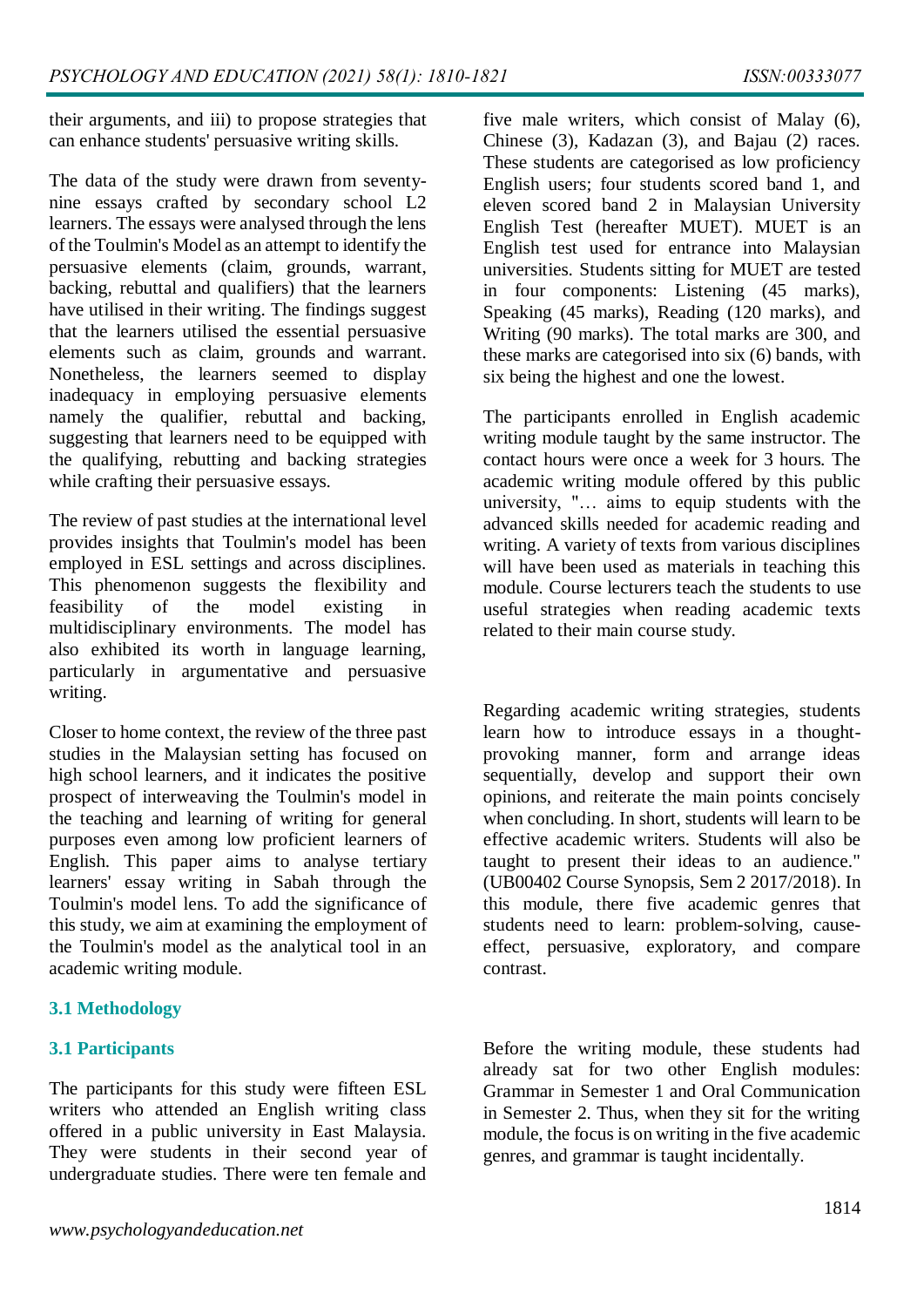their arguments, and iii) to propose strategies that can enhance students' persuasive writing skills.

The data of the study were drawn from seventynine essays crafted by secondary school L2 learners. The essays were analysed through the lens of the Toulmin's Model as an attempt to identify the persuasive elements (claim, grounds, warrant, backing, rebuttal and qualifiers) that the learners have utilised in their writing. The findings suggest that the learners utilised the essential persuasive elements such as claim, grounds and warrant. Nonetheless, the learners seemed to display inadequacy in employing persuasive elements namely the qualifier, rebuttal and backing, suggesting that learners need to be equipped with the qualifying, rebutting and backing strategies while crafting their persuasive essays.

The review of past studies at the international level provides insights that Toulmin's model has been employed in ESL settings and across disciplines. This phenomenon suggests the flexibility and feasibility of the model existing in multidisciplinary environments. The model has also exhibited its worth in language learning, particularly in argumentative and persuasive writing.

Closer to home context, the review of the three past studies in the Malaysian setting has focused on high school learners, and it indicates the positive prospect of interweaving the Toulmin's model in the teaching and learning of writing for general purposes even among low proficient learners of English. This paper aims to analyse tertiary learners' essay writing in Sabah through the Toulmin's model lens. To add the significance of this study, we aim at examining the employment of the Toulmin's model as the analytical tool in an academic writing module.

### **3.1 Methodology**

### **3.1 Participants**

The participants for this study were fifteen ESL writers who attended an English writing class offered in a public university in East Malaysia. They were students in their second year of undergraduate studies. There were ten female and five male writers, which consist of Malay (6), Chinese (3), Kadazan (3), and Bajau (2) races. These students are categorised as low proficiency English users; four students scored band 1, and eleven scored band 2 in Malaysian University English Test (hereafter MUET). MUET is an English test used for entrance into Malaysian universities. Students sitting for MUET are tested in four components: Listening (45 marks), Speaking (45 marks), Reading (120 marks), and Writing (90 marks). The total marks are 300, and these marks are categorised into six (6) bands, with six being the highest and one the lowest.

The participants enrolled in English academic writing module taught by the same instructor. The contact hours were once a week for 3 hours. The academic writing module offered by this public university, "… aims to equip students with the advanced skills needed for academic reading and writing. A variety of texts from various disciplines will have been used as materials in teaching this module. Course lecturers teach the students to use useful strategies when reading academic texts related to their main course study.

Regarding academic writing strategies, students learn how to introduce essays in a thoughtprovoking manner, form and arrange ideas sequentially, develop and support their own opinions, and reiterate the main points concisely when concluding. In short, students will learn to be effective academic writers. Students will also be taught to present their ideas to an audience." (UB00402 Course Synopsis, Sem 2 2017/2018). In this module, there five academic genres that students need to learn: problem-solving, causeeffect, persuasive, exploratory, and compare contrast.

Before the writing module, these students had already sat for two other English modules: Grammar in Semester 1 and Oral Communication in Semester 2. Thus, when they sit for the writing module, the focus is on writing in the five academic genres, and grammar is taught incidentally.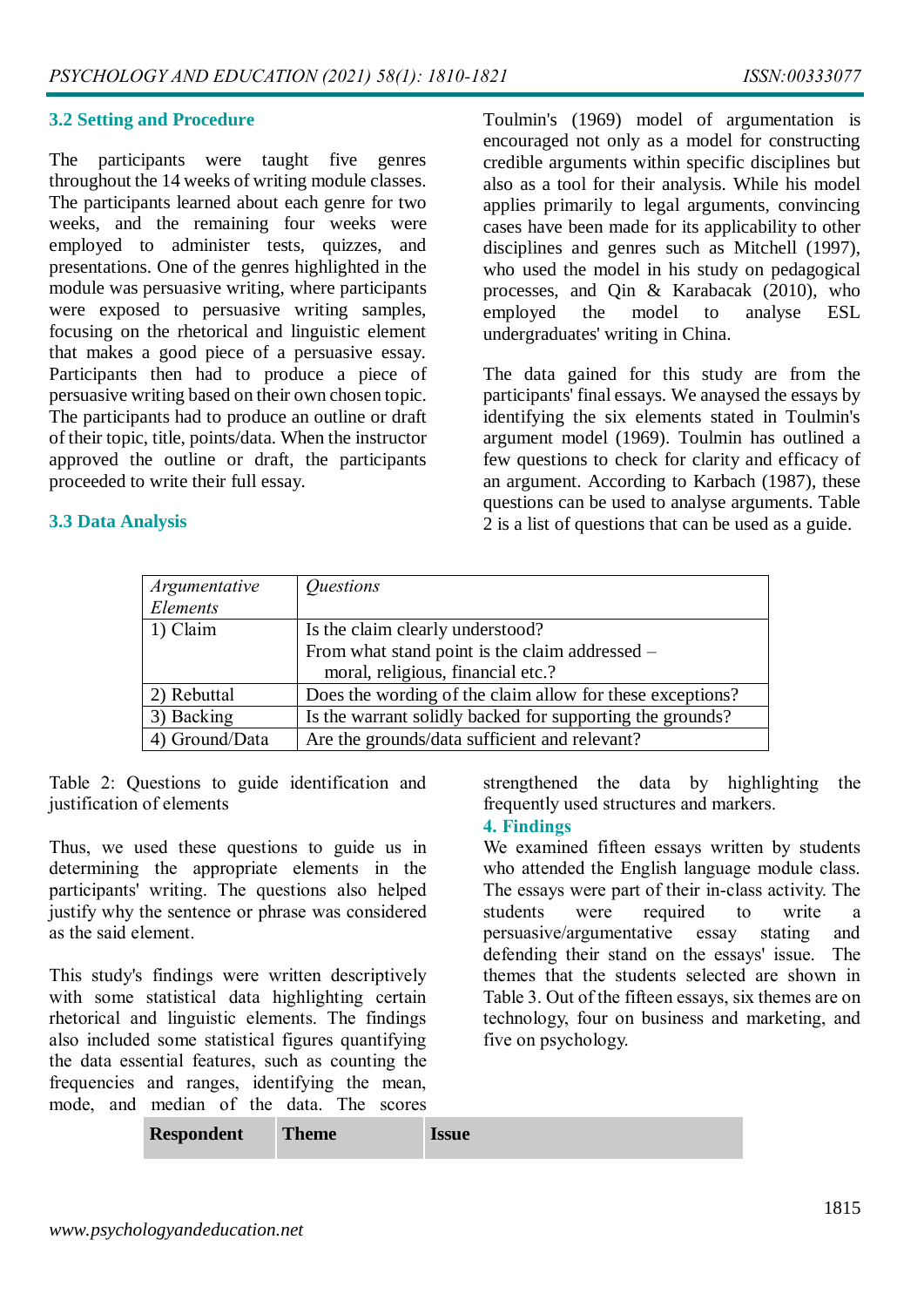#### **3.2 Setting and Procedure**

The participants were taught five genres throughout the 14 weeks of writing module classes. The participants learned about each genre for two weeks, and the remaining four weeks were employed to administer tests, quizzes, and presentations. One of the genres highlighted in the module was persuasive writing, where participants were exposed to persuasive writing samples, focusing on the rhetorical and linguistic element that makes a good piece of a persuasive essay. Participants then had to produce a piece of persuasive writing based on their own chosen topic. The participants had to produce an outline or draft of their topic, title, points/data. When the instructor approved the outline or draft, the participants proceeded to write their full essay.

#### Toulmin's (1969) model of argumentation is encouraged not only as a model for constructing credible arguments within specific disciplines but also as a tool for their analysis. While his model applies primarily to legal arguments, convincing cases have been made for its applicability to other disciplines and genres such as Mitchell (1997), who used the model in his study on pedagogical processes, and Qin & Karabacak (2010), who employed the model to analyse ESL undergraduates' writing in China.

The data gained for this study are from the participants' final essays. We anaysed the essays by identifying the six elements stated in Toulmin's argument model (1969). Toulmin has outlined a few questions to check for clarity and efficacy of an argument. According to Karbach (1987), these questions can be used to analyse arguments. Table 2 is a list of questions that can be used as a guide.

| <b>3.3 Data Analysis</b> |  |  |
|--------------------------|--|--|
|                          |  |  |

| Argumentative<br>Elements | <i><u><b>Ouestions</b></u></i>                            |  |
|---------------------------|-----------------------------------------------------------|--|
| 1) Claim                  | Is the claim clearly understood?                          |  |
|                           | From what stand point is the claim addressed –            |  |
|                           | moral, religious, financial etc.?                         |  |
| 2) Rebuttal               | Does the wording of the claim allow for these exceptions? |  |
| 3) Backing                | Is the warrant solidly backed for supporting the grounds? |  |
| 4) Ground/Data            | Are the grounds/data sufficient and relevant?             |  |

Table 2: Questions to guide identification and justification of elements

Thus, we used these questions to guide us in determining the appropriate elements in the participants' writing. The questions also helped justify why the sentence or phrase was considered as the said element.

This study's findings were written descriptively with some statistical data highlighting certain rhetorical and linguistic elements. The findings also included some statistical figures quantifying the data essential features, such as counting the frequencies and ranges, identifying the mean, mode, and median of the data. The scores

strengthened the data by highlighting the frequently used structures and markers.

#### **4. Findings**

We examined fifteen essays written by students who attended the English language module class. The essays were part of their in-class activity. The students were required to write a persuasive/argumentative essay stating and defending their stand on the essays' issue. The themes that the students selected are shown in Table 3. Out of the fifteen essays, six themes are on technology, four on business and marketing, and five on psychology.

| <b>Respondent</b> | <b>Theme</b> | <b>Issue</b> |
|-------------------|--------------|--------------|
|-------------------|--------------|--------------|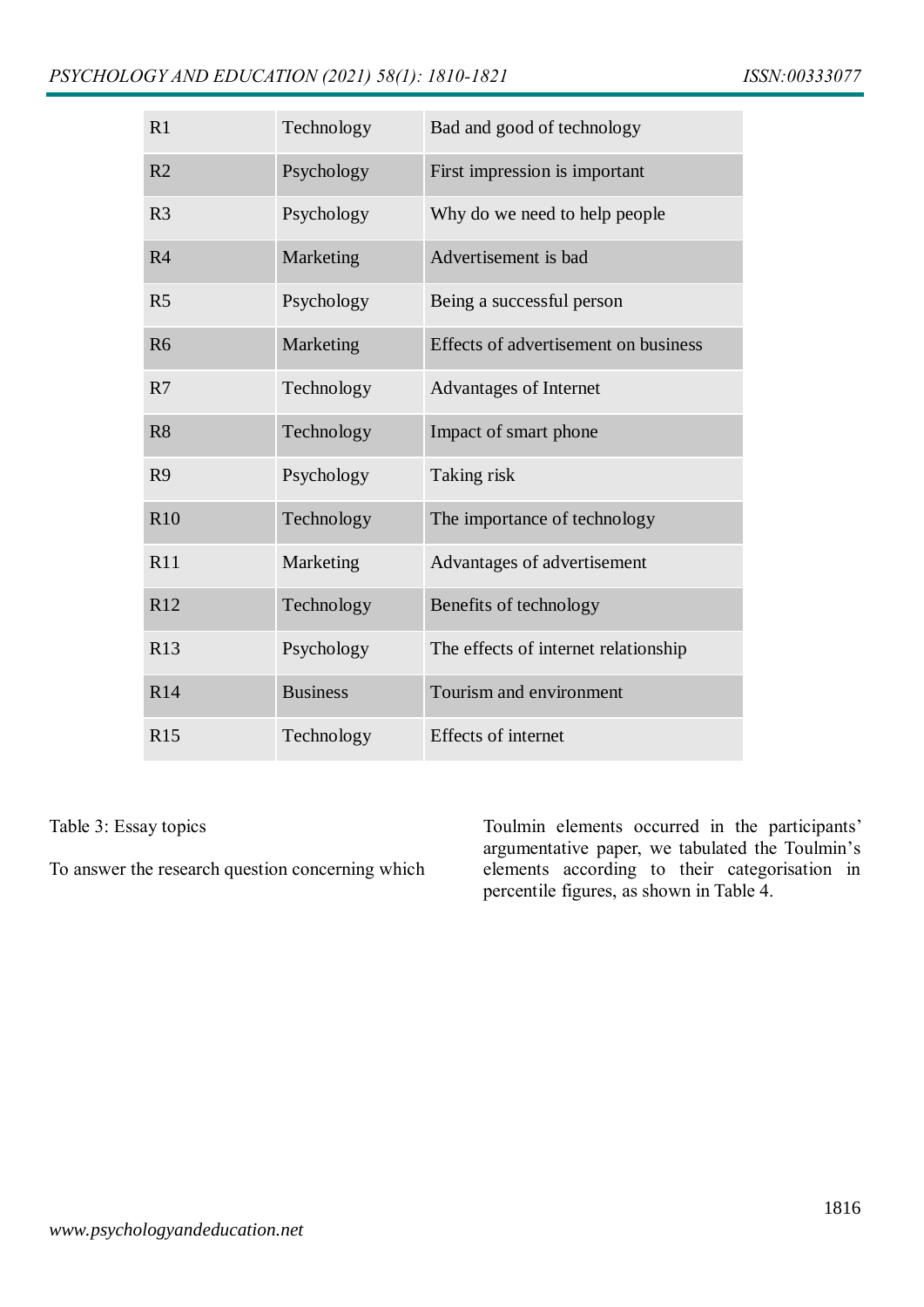| R1              | Technology      | Bad and good of technology           |  |
|-----------------|-----------------|--------------------------------------|--|
| R <sub>2</sub>  | Psychology      | First impression is important        |  |
| R <sub>3</sub>  | Psychology      | Why do we need to help people        |  |
| R <sub>4</sub>  | Marketing       | Advertisement is bad                 |  |
| R <sub>5</sub>  | Psychology      | Being a successful person            |  |
| R <sub>6</sub>  | Marketing       | Effects of advertisement on business |  |
| R7              | Technology      | <b>Advantages of Internet</b>        |  |
| R <sub>8</sub>  | Technology      | Impact of smart phone                |  |
| R <sub>9</sub>  | Psychology      | Taking risk                          |  |
| R10             | Technology      | The importance of technology         |  |
| R11             | Marketing       | Advantages of advertisement          |  |
| R12             | Technology      | Benefits of technology               |  |
| R13             | Psychology      | The effects of internet relationship |  |
| R <sub>14</sub> | <b>Business</b> | Tourism and environment              |  |
| <b>R15</b>      | Technology      | <b>Effects of internet</b>           |  |

Table 3: Essay topics

To answer the research question concerning which

Toulmin elements occurred in the participants' argumentative paper, we tabulated the Toulmin's elements according to their categorisation in percentile figures, as shown in Table 4.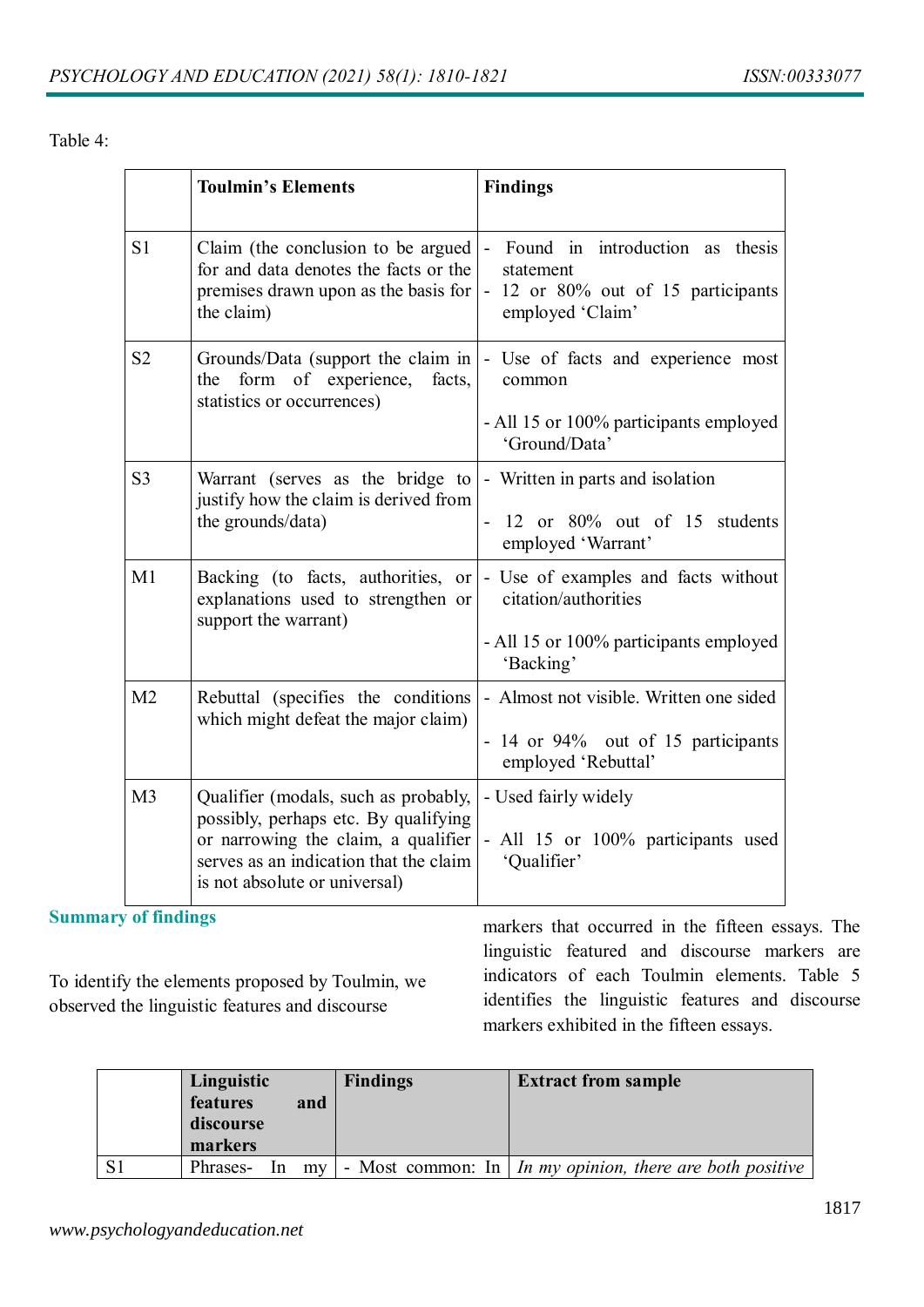Table 4:

|                | <b>Toulmin's Elements</b>                                                                                                                                                                      | <b>Findings</b>                                                                                                                                               |
|----------------|------------------------------------------------------------------------------------------------------------------------------------------------------------------------------------------------|---------------------------------------------------------------------------------------------------------------------------------------------------------------|
| S <sub>1</sub> | Claim (the conclusion to be argued)<br>for and data denotes the facts or the<br>premises drawn upon as the basis for<br>the claim)                                                             | Found in introduction as thesis<br>$\sim$<br>statement<br>- 12 or 80% out of 15 participants<br>employed 'Claim'                                              |
| S <sub>2</sub> | form of experience,<br>facts,<br>the<br>statistics or occurrences)                                                                                                                             | Grounds/Data (support the claim in  - Use of facts and experience most<br>common<br>- All 15 or 100% participants employed<br>'Ground/Data'                   |
| S <sub>3</sub> | Warrant (serves as the bridge to $\vert$ - Written in parts and isolation<br>justify how the claim is derived from<br>the grounds/data)                                                        | - 12 or 80% out of 15 students<br>employed 'Warrant'                                                                                                          |
| M1             | explanations used to strengthen or<br>support the warrant)                                                                                                                                     | Backing (to facts, authorities, or $\vert$ - Use of examples and facts without<br>citation/authorities<br>- All 15 or 100% participants employed<br>'Backing' |
| M <sub>2</sub> | Rebuttal (specifies the conditions)<br>which might defeat the major claim)                                                                                                                     | - Almost not visible. Written one sided<br>- 14 or 94% out of 15 participants<br>employed 'Rebuttal'                                                          |
| M <sub>3</sub> | Qualifier (modals, such as probably,<br>possibly, perhaps etc. By qualifying<br>or narrowing the claim, a qualifier<br>serves as an indication that the claim<br>is not absolute or universal) | - Used fairly widely<br>- All 15 or 100% participants used<br>'Qualifier'                                                                                     |

**Summary of findings**

To identify the elements proposed by Toulmin, we observed the linguistic features and discourse

markers that occurred in the fifteen essays. The linguistic featured and discourse markers are indicators of each Toulmin elements. Table 5 identifies the linguistic features and discourse markers exhibited in the fifteen essays.

| Linguistic<br>features<br>discourse<br>markers | and     | <b>Findings</b> | <b>Extract from sample</b>                                             |
|------------------------------------------------|---------|-----------------|------------------------------------------------------------------------|
| Phrases-                                       | $ln$ my |                 | - Most common: In $\mid$ <i>In my opinion, there are both positive</i> |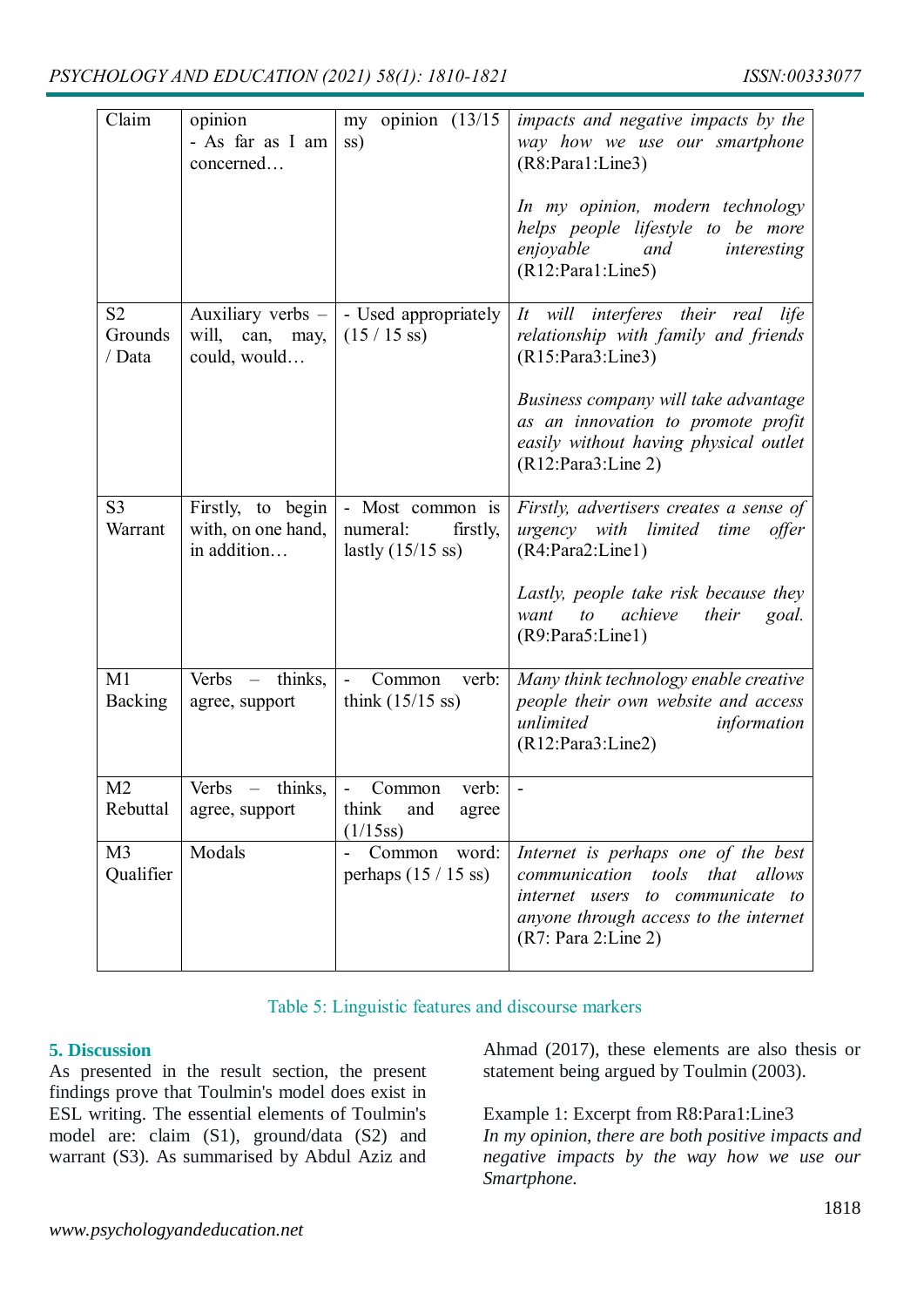| Claim                               | opinion<br>- As far as I am<br>concerned               | my opinion $(13/15)$<br>ss)                                             | impacts and negative impacts by the<br>way how we use our smartphone<br>(R8:Para1:Line3)<br>In my opinion, modern technology<br>helps people lifestyle to be more<br>enjoyable<br>and<br>interesting<br>(R12:Para1:Line5) |
|-------------------------------------|--------------------------------------------------------|-------------------------------------------------------------------------|---------------------------------------------------------------------------------------------------------------------------------------------------------------------------------------------------------------------------|
| S <sub>2</sub><br>Grounds<br>/ Data | Auxiliary verbs $-$<br>will, can, may,<br>could, would | - Used appropriately<br>$(15/15 \text{ ss})$                            | It will interferes their real life<br>relationship with family and friends<br>(R15:Para3:Line3)                                                                                                                           |
|                                     |                                                        |                                                                         | Business company will take advantage<br>as an innovation to promote profit<br>easily without having physical outlet<br>(R12:Para3:Line 2)                                                                                 |
| S <sub>3</sub><br>Warrant           | Firstly, to begin<br>with, on one hand,<br>in addition | - Most common is<br>numeral:<br>firstly,<br>lastly $(15/15 \text{ ss})$ | Firstly, advertisers creates a sense of<br>urgency with limited time<br>offer<br>(R4:Para2:Line1)                                                                                                                         |
|                                     |                                                        |                                                                         | Lastly, people take risk because they<br>achieve<br>want<br>to<br>their<br>goal.<br>(R9:Para5:Line1)                                                                                                                      |
| M1<br><b>Backing</b>                | Verbs – thinks,<br>agree, support                      | Common<br>verb:<br>÷,<br>think $(15/15$ ss)                             | Many think technology enable creative<br>people their own website and access<br>unlimited<br>information<br>(R12:Para3:Line2)                                                                                             |
| M <sub>2</sub><br>Rebuttal          | Verbs $-$ thinks, $ -$<br>agree, support               | Common<br>verb:<br>think<br>and<br>agree<br>(1/15ss)                    |                                                                                                                                                                                                                           |
| M <sub>3</sub><br>Qualifier         | Modals                                                 | Common<br>word:<br>perhaps $(15/15 \text{ ss})$                         | Internet is perhaps one of the best<br>communication tools that allows<br>internet users to communicate to<br>anyone through access to the internet<br>(R7: Para 2:Line 2)                                                |

#### Table 5: Linguistic features and discourse markers

#### **5. Discussion**

As presented in the result section, the present findings prove that Toulmin's model does exist in ESL writing. The essential elements of Toulmin's model are: claim (S1), ground/data (S2) and warrant (S3). As summarised by Abdul Aziz and Ahmad (2017), these elements are also thesis or statement being argued by Toulmin (2003).

Example 1: Excerpt from R8:Para1:Line3 *In my opinion, there are both positive impacts and negative impacts by the way how we use our Smartphone.*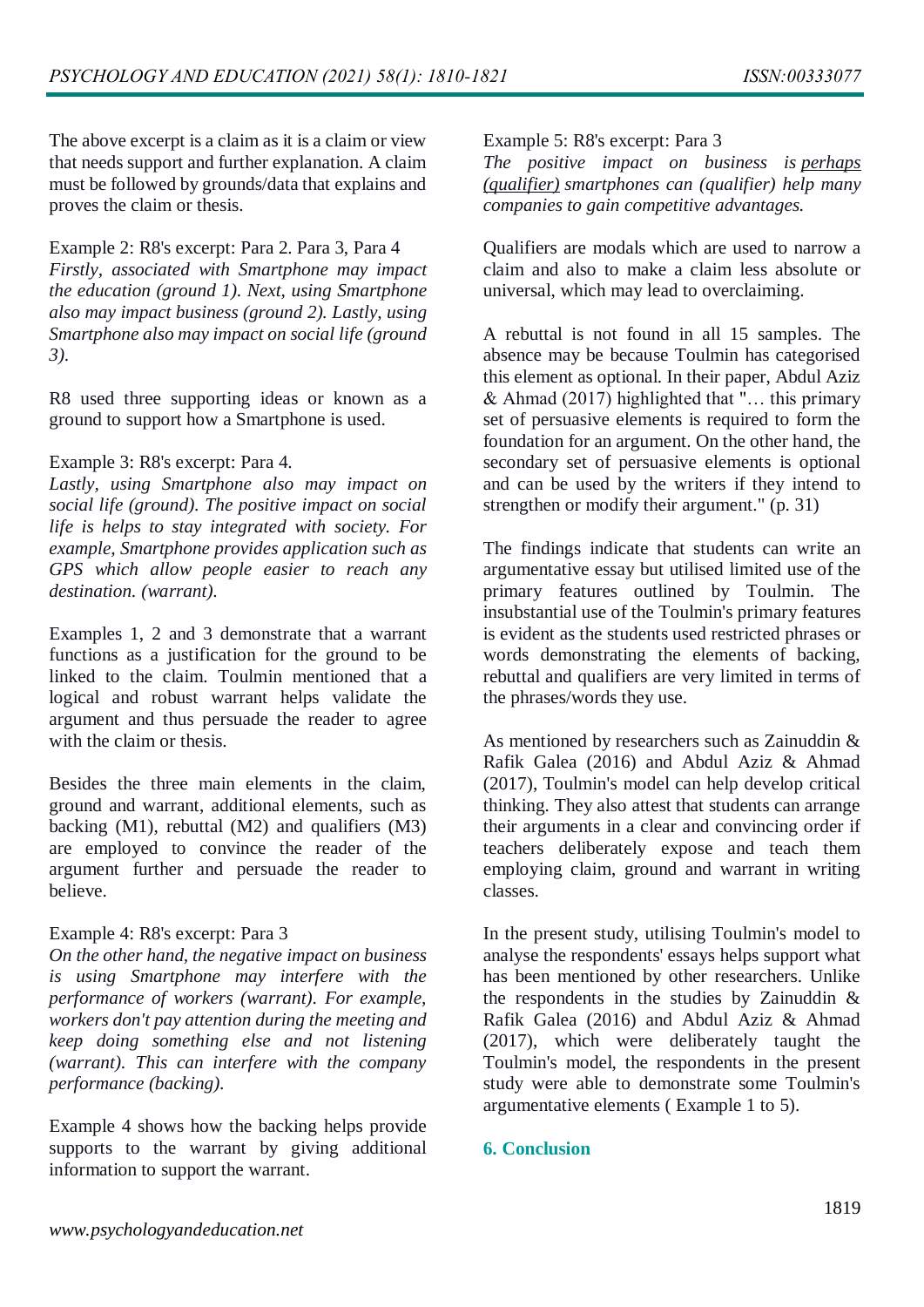The above excerpt is a claim as it is a claim or view that needs support and further explanation. A claim must be followed by grounds/data that explains and proves the claim or thesis.

Example 2: R8's excerpt: Para 2. Para 3, Para 4 *Firstly, associated with Smartphone may impact the education (ground 1). Next, using Smartphone also may impact business (ground 2). Lastly, using Smartphone also may impact on social life (ground 3).*

R8 used three supporting ideas or known as a ground to support how a Smartphone is used.

#### Example 3: R8's excerpt: Para 4.

*Lastly, using Smartphone also may impact on social life (ground). The positive impact on social life is helps to stay integrated with society. For example, Smartphone provides application such as GPS which allow people easier to reach any destination. (warrant).*

Examples 1, 2 and 3 demonstrate that a warrant functions as a justification for the ground to be linked to the claim. Toulmin mentioned that a logical and robust warrant helps validate the argument and thus persuade the reader to agree with the claim or thesis.

Besides the three main elements in the claim, ground and warrant, additional elements, such as backing (M1), rebuttal (M2) and qualifiers (M3) are employed to convince the reader of the argument further and persuade the reader to believe.

#### Example 4: R8's excerpt: Para 3

*On the other hand, the negative impact on business is using Smartphone may interfere with the performance of workers (warrant). For example, workers don't pay attention during the meeting and keep doing something else and not listening (warrant). This can interfere with the company performance (backing).*

Example 4 shows how the backing helps provide supports to the warrant by giving additional information to support the warrant.

#### Example 5: R8's excerpt: Para 3

*The positive impact on business is perhaps (qualifier) smartphones can (qualifier) help many companies to gain competitive advantages.*

Qualifiers are modals which are used to narrow a claim and also to make a claim less absolute or universal, which may lead to overclaiming.

A rebuttal is not found in all 15 samples. The absence may be because Toulmin has categorised this element as optional. In their paper, Abdul Aziz & Ahmad (2017) highlighted that "… this primary set of persuasive elements is required to form the foundation for an argument. On the other hand, the secondary set of persuasive elements is optional and can be used by the writers if they intend to strengthen or modify their argument." (p. 31)

The findings indicate that students can write an argumentative essay but utilised limited use of the primary features outlined by Toulmin. The insubstantial use of the Toulmin's primary features is evident as the students used restricted phrases or words demonstrating the elements of backing, rebuttal and qualifiers are very limited in terms of the phrases/words they use.

As mentioned by researchers such as Zainuddin & Rafik Galea (2016) and Abdul Aziz & Ahmad (2017), Toulmin's model can help develop critical thinking. They also attest that students can arrange their arguments in a clear and convincing order if teachers deliberately expose and teach them employing claim, ground and warrant in writing classes.

In the present study, utilising Toulmin's model to analyse the respondents' essays helps support what has been mentioned by other researchers. Unlike the respondents in the studies by Zainuddin & Rafik Galea (2016) and Abdul Aziz & Ahmad (2017), which were deliberately taught the Toulmin's model, the respondents in the present study were able to demonstrate some Toulmin's argumentative elements ( Example 1 to 5).

#### **6. Conclusion**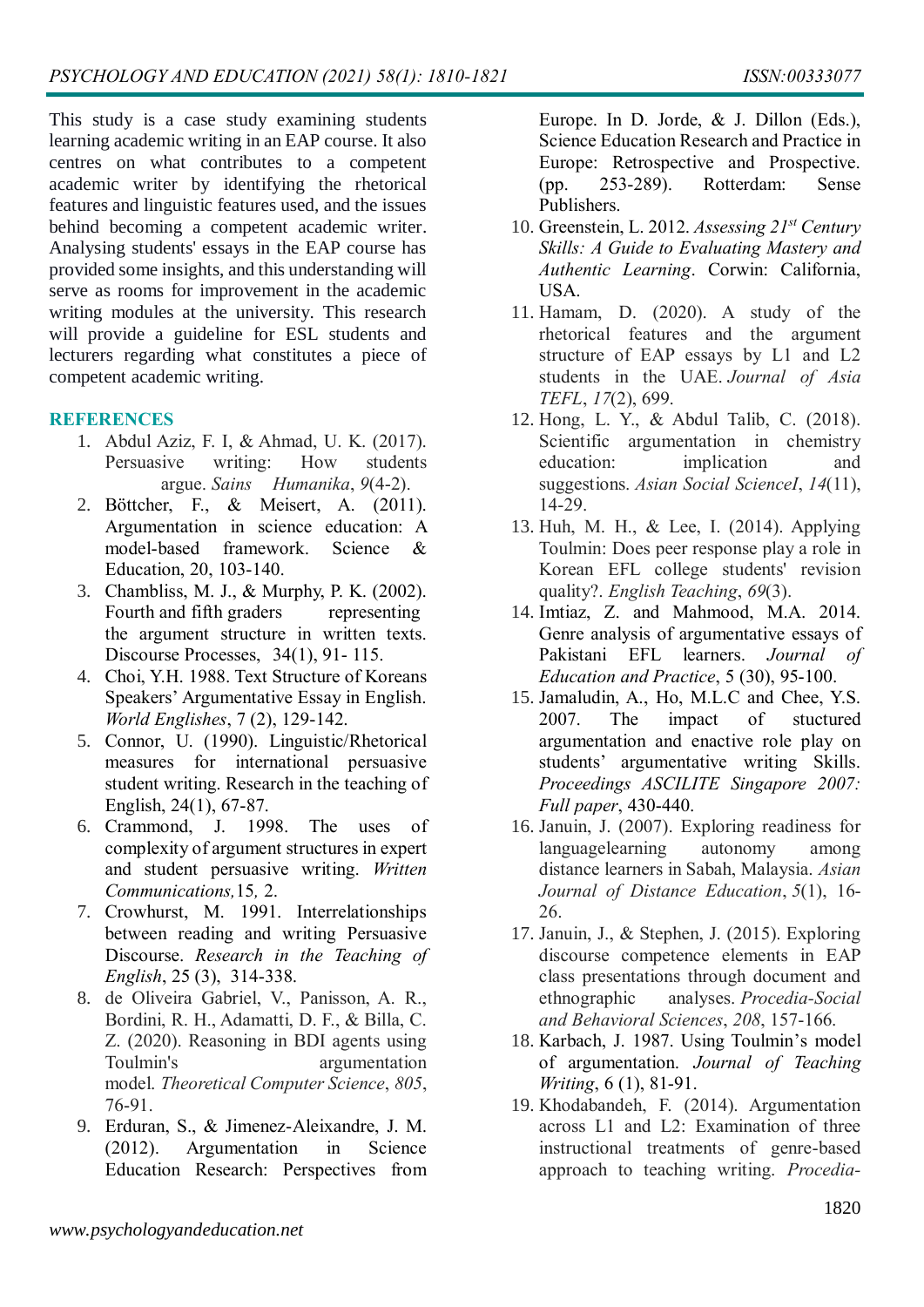This study is a case study examining students learning academic writing in an EAP course. It also centres on what contributes to a competent academic writer by identifying the rhetorical features and linguistic features used, and the issues behind becoming a competent academic writer. Analysing students' essays in the EAP course has provided some insights, and this understanding will serve as rooms for improvement in the academic writing modules at the university. This research will provide a guideline for ESL students and lecturers regarding what constitutes a piece of competent academic writing.

#### **REFERENCES**

- 1. Abdul Aziz, F. I, & Ahmad, U. K. (2017). Persuasive writing: How students argue. *Sains Humanika*, *9*(4-2).
- 2. Böttcher, F., & Meisert, A. (2011). Argumentation in science education: A model-based framework. Science & Education, 20, 103-140.
- 3. Chambliss, M. J., & Murphy, P. K. (2002). Fourth and fifth graders representing the argument structure in written texts. Discourse Processes, 34(1), 91- 115.
- 4. Choi, Y.H. 1988. Text Structure of Koreans Speakers' Argumentative Essay in English. *World Englishes*, 7 (2), 129-142.
- 5. Connor, U. (1990). Linguistic/Rhetorical measures for international persuasive student writing. Research in the teaching of English, 24(1), 67-87.
- 6. Crammond, J. 1998. The uses of complexity of argument structures in expert and student persuasive writing. *Written Communications,*15*,* 2.
- 7. Crowhurst, M. 1991. Interrelationships between reading and writing Persuasive Discourse. *Research in the Teaching of English*, 25 (3), 314-338.
- 8. de Oliveira Gabriel, V., Panisson, A. R., Bordini, R. H., Adamatti, D. F., & Billa, C. Z. (2020). Reasoning in BDI agents using Toulmin's argumentation model. *Theoretical Computer Science*, *805*, 76-91.
- 9. Erduran, S., & Jimenez-Aleixandre, J. M. (2012). Argumentation in Science Education Research: Perspectives from

Europe. In D. Jorde, & J. Dillon (Eds.), Science Education Research and Practice in Europe: Retrospective and Prospective. (pp. 253-289). Rotterdam: Sense Publishers.

- 10. Greenstein, L. 2012. *Assessing 21st Century Skills: A Guide to Evaluating Mastery and Authentic Learning*. Corwin: California, USA.
- 11. Hamam, D. (2020). A study of the rhetorical features and the argument structure of EAP essays by L1 and L2 students in the UAE. *Journal of Asia TEFL*, *17*(2), 699.
- 12. Hong, L. Y., & Abdul Talib, C. (2018). Scientific argumentation in chemistry education: implication and suggestions. *Asian Social ScienceI*, *14*(11), 14-29.
- 13. Huh, M. H., & Lee, I. (2014). Applying Toulmin: Does peer response play a role in Korean EFL college students' revision quality?. *English Teaching*, *69*(3).
- 14. Imtiaz, Z. and Mahmood, M.A. 2014. Genre analysis of argumentative essays of Pakistani EFL learners. *Journal of Education and Practice*, 5 (30), 95-100.
- 15. Jamaludin, A., Ho, M.L.C and Chee, Y.S. 2007. The impact of stuctured argumentation and enactive role play on students' argumentative writing Skills. *Proceedings ASCILITE Singapore 2007: Full paper*, 430-440.
- 16. Januin, J. (2007). Exploring readiness for languagelearning autonomy among distance learners in Sabah, Malaysia. *Asian Journal of Distance Education*, *5*(1), 16- 26.
- 17. Januin, J., & Stephen, J. (2015). Exploring discourse competence elements in EAP class presentations through document and ethnographic analyses. *Procedia-Social and Behavioral Sciences*, *208*, 157-166.
- 18. Karbach, J. 1987. Using Toulmin's model of argumentation. *Journal of Teaching Writing*, 6 (1), 81-91.
- 19. Khodabandeh, F. (2014). Argumentation across L1 and L2: Examination of three instructional treatments of genre-based approach to teaching writing. *Procedia-*